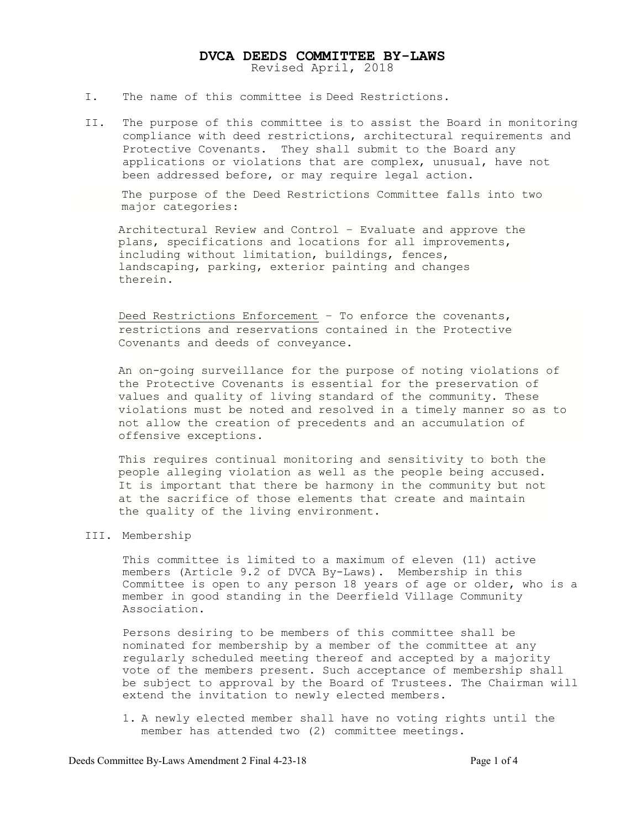# DVCA DEEDS COMMITTEE BY-LAWS Revised April, 2018

- I. The name of this committee is Deed Restrictions.
- II. The purpose of this committee is to assist the Board in monitoring compliance with deed restrictions, architectural requirements and Protective Covenants. They shall submit to the Board any applications or violations that are complex, unusual, have not been addressed before, or may require legal action.

 The purpose of the Deed Restrictions Committee falls into two major categories:

Architectural Review and Control – Evaluate and approve the plans, specifications and locations for all improvements, including without limitation, buildings, fences, landscaping, parking, exterior painting and changes therein.

Deed Restrictions Enforcement – To enforce the covenants, restrictions and reservations contained in the Protective Covenants and deeds of conveyance.

An on-going surveillance for the purpose of noting violations of the Protective Covenants is essential for the preservation of values and quality of living standard of the community. These violations must be noted and resolved in a timely manner so as to not allow the creation of precedents and an accumulation of offensive exceptions.

This requires continual monitoring and sensitivity to both the people alleging violation as well as the people being accused. It is important that there be harmony in the community but not at the sacrifice of those elements that create and maintain the quality of the living environment.

# III. Membership

This committee is limited to a maximum of eleven (11) active members (Article 9.2 of DVCA By-Laws). Membership in this Committee is open to any person 18 years of age or older, who is a member in good standing in the Deerfield Village Community Association.

Persons desiring to be members of this committee shall be nominated for membership by a member of the committee at any regularly scheduled meeting thereof and accepted by a majority vote of the members present. Such acceptance of membership shall be subject to approval by the Board of Trustees. The Chairman will extend the invitation to newly elected members.

1. A newly elected member shall have no voting rights until the member has attended two (2) committee meetings.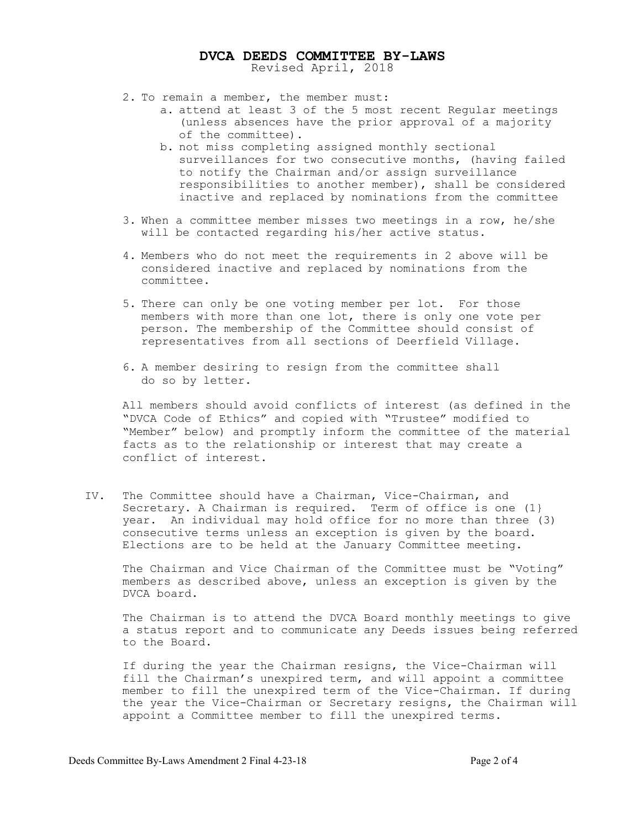# DVCA DEEDS COMMITTEE BY-LAWS Revised April, 2018

- 2. To remain a member, the member must:
	- a. attend at least 3 of the 5 most recent Regular meetings (unless absences have the prior approval of a majority of the committee).
	- b. not miss completing assigned monthly sectional surveillances for two consecutive months, (having failed to notify the Chairman and/or assign surveillance responsibilities to another member), shall be considered inactive and replaced by nominations from the committee
- 3. When a committee member misses two meetings in a row, he/she will be contacted regarding his/her active status.
- 4. Members who do not meet the requirements in 2 above will be considered inactive and replaced by nominations from the committee.
- 5. There can only be one voting member per lot. For those members with more than one lot, there is only one vote per person. The membership of the Committee should consist of representatives from all sections of Deerfield Village.
- 6. A member desiring to resign from the committee shall do so by letter.

All members should avoid conflicts of interest (as defined in the "DVCA Code of Ethics" and copied with "Trustee" modified to "Member" below) and promptly inform the committee of the material facts as to the relationship or interest that may create a conflict of interest.

IV. The Committee should have a Chairman, Vice-Chairman, and Secretary. A Chairman is required. Term of office is one (1} year. An individual may hold office for no more than three (3) consecutive terms unless an exception is given by the board. Elections are to be held at the January Committee meeting.

The Chairman and Vice Chairman of the Committee must be "Voting" members as described above, unless an exception is given by the DVCA board.

The Chairman is to attend the DVCA Board monthly meetings to give a status report and to communicate any Deeds issues being referred to the Board.

If during the year the Chairman resigns, the Vice-Chairman will fill the Chairman's unexpired term, and will appoint a committee member to fill the unexpired term of the Vice-Chairman. If during the year the Vice-Chairman or Secretary resigns, the Chairman will appoint a Committee member to fill the unexpired terms.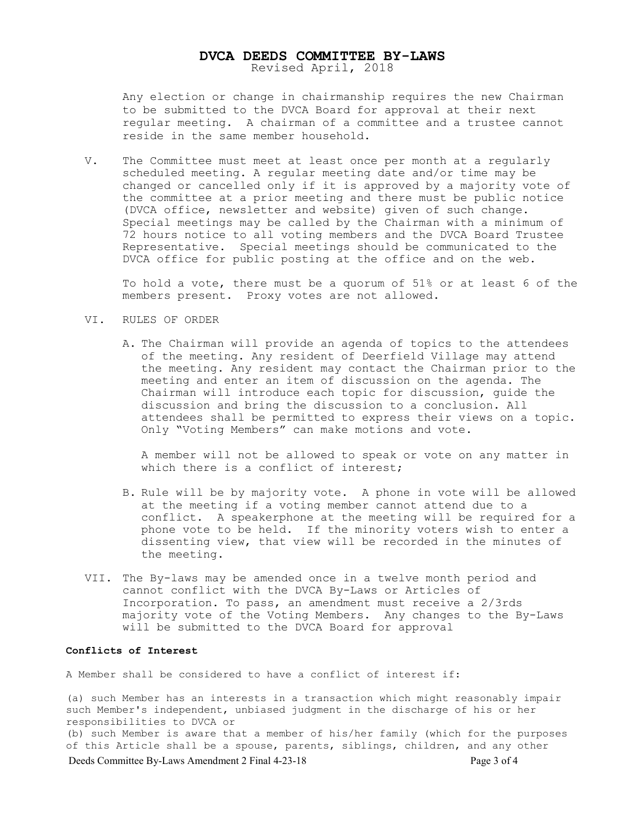# DVCA DEEDS COMMITTEE BY-LAWS Revised April, 2018

Any election or change in chairmanship requires the new Chairman to be submitted to the DVCA Board for approval at their next regular meeting. A chairman of a committee and a trustee cannot reside in the same member household.

V. The Committee must meet at least once per month at a regularly scheduled meeting. A regular meeting date and/or time may be changed or cancelled only if it is approved by a majority vote of the committee at a prior meeting and there must be public notice (DVCA office, newsletter and website) given of such change. Special meetings may be called by the Chairman with a minimum of 72 hours notice to all voting members and the DVCA Board Trustee Representative. Special meetings should be communicated to the DVCA office for public posting at the office and on the web.

To hold a vote, there must be a quorum of 51% or at least 6 of the members present. Proxy votes are not allowed.

#### VI. RULES OF ORDER

A. The Chairman will provide an agenda of topics to the attendees of the meeting. Any resident of Deerfield Village may attend the meeting. Any resident may contact the Chairman prior to the meeting and enter an item of discussion on the agenda. The Chairman will introduce each topic for discussion, guide the discussion and bring the discussion to a conclusion. All attendees shall be permitted to express their views on a topic. Only "Voting Members" can make motions and vote.

A member will not be allowed to speak or vote on any matter in which there is a conflict of interest;

- B. Rule will be by majority vote. A phone in vote will be allowed at the meeting if a voting member cannot attend due to a conflict. A speakerphone at the meeting will be required for a phone vote to be held. If the minority voters wish to enter a dissenting view, that view will be recorded in the minutes of the meeting.
- VII. The By-laws may be amended once in a twelve month period and cannot conflict with the DVCA By-Laws or Articles of Incorporation. To pass, an amendment must receive a 2/3rds majority vote of the Voting Members. Any changes to the By-Laws will be submitted to the DVCA Board for approval

# Conflicts of Interest

A Member shall be considered to have a conflict of interest if:

(a) such Member has an interests in a transaction which might reasonably impair such Member's independent, unbiased judgment in the discharge of his or her responsibilities to DVCA or (b) such Member is aware that a member of his/her family (which for the purposes

 Deeds Committee By-Laws Amendment 2 Final 4-23-18 Page 3 of 4 of this Article shall be a spouse, parents, siblings, children, and any other